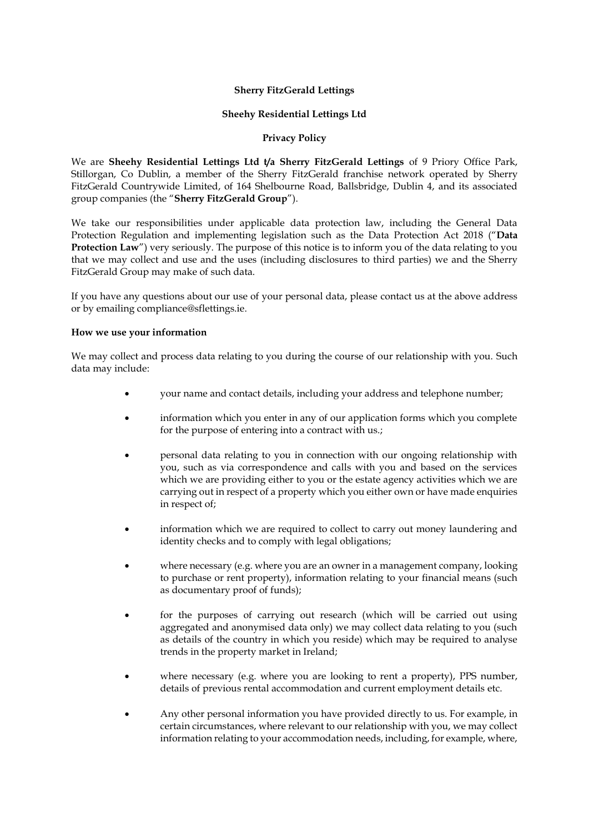### **Sherry FitzGerald Lettings**

#### **Sheehy Residential Lettings Ltd**

### **Privacy Policy**

We are **Sheehy Residential Lettings Ltd t/a Sherry FitzGerald Lettings** of 9 Priory Office Park, Stillorgan, Co Dublin, a member of the Sherry FitzGerald franchise network operated by Sherry FitzGerald Countrywide Limited, of 164 Shelbourne Road, Ballsbridge, Dublin 4, and its associated group companies (the "**Sherry FitzGerald Group**").

We take our responsibilities under applicable data protection law, including the General Data Protection Regulation and implementing legislation such as the Data Protection Act 2018 ("**Data Protection Law**") very seriously. The purpose of this notice is to inform you of the data relating to you that we may collect and use and the uses (including disclosures to third parties) we and the Sherry FitzGerald Group may make of such data.

If you have any questions about our use of your personal data, please contact us at the above address or by emailing compliance@sflettings.ie.

#### **How we use your information**

We may collect and process data relating to you during the course of our relationship with you. Such data may include:

- your name and contact details, including your address and telephone number;
- information which you enter in any of our application forms which you complete for the purpose of entering into a contract with us.;
- personal data relating to you in connection with our ongoing relationship with you, such as via correspondence and calls with you and based on the services which we are providing either to you or the estate agency activities which we are carrying out in respect of a property which you either own or have made enquiries in respect of;
- information which we are required to collect to carry out money laundering and identity checks and to comply with legal obligations;
- where necessary (e.g. where you are an owner in a management company, looking to purchase or rent property), information relating to your financial means (such as documentary proof of funds);
- for the purposes of carrying out research (which will be carried out using aggregated and anonymised data only) we may collect data relating to you (such as details of the country in which you reside) which may be required to analyse trends in the property market in Ireland;
- where necessary (e.g. where you are looking to rent a property), PPS number, details of previous rental accommodation and current employment details etc.
- Any other personal information you have provided directly to us. For example, in certain circumstances, where relevant to our relationship with you, we may collect information relating to your accommodation needs, including, for example, where,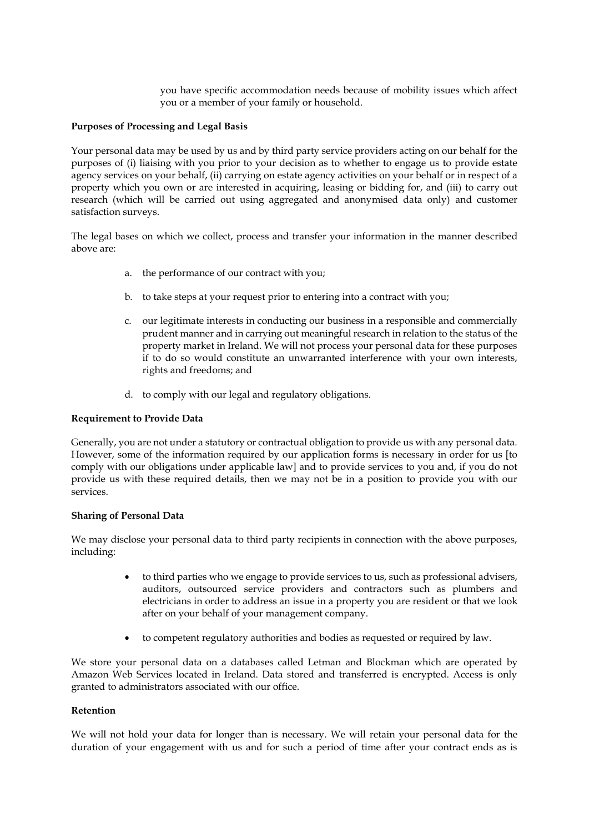you have specific accommodation needs because of mobility issues which affect you or a member of your family or household.

### **Purposes of Processing and Legal Basis**

Your personal data may be used by us and by third party service providers acting on our behalf for the purposes of (i) liaising with you prior to your decision as to whether to engage us to provide estate agency services on your behalf, (ii) carrying on estate agency activities on your behalf or in respect of a property which you own or are interested in acquiring, leasing or bidding for, and (iii) to carry out research (which will be carried out using aggregated and anonymised data only) and customer satisfaction surveys.

The legal bases on which we collect, process and transfer your information in the manner described above are:

- a. the performance of our contract with you;
- b. to take steps at your request prior to entering into a contract with you;
- c. our legitimate interests in conducting our business in a responsible and commercially prudent manner and in carrying out meaningful research in relation to the status of the property market in Ireland. We will not process your personal data for these purposes if to do so would constitute an unwarranted interference with your own interests, rights and freedoms; and
- d. to comply with our legal and regulatory obligations.

### **Requirement to Provide Data**

Generally, you are not under a statutory or contractual obligation to provide us with any personal data. However, some of the information required by our application forms is necessary in order for us [to comply with our obligations under applicable law] and to provide services to you and, if you do not provide us with these required details, then we may not be in a position to provide you with our services.

#### **Sharing of Personal Data**

We may disclose your personal data to third party recipients in connection with the above purposes, including:

- to third parties who we engage to provide services to us, such as professional advisers, auditors, outsourced service providers and contractors such as plumbers and electricians in order to address an issue in a property you are resident or that we look after on your behalf of your management company.
- to competent regulatory authorities and bodies as requested or required by law.

We store your personal data on a databases called Letman and Blockman which are operated by Amazon Web Services located in Ireland. Data stored and transferred is encrypted. Access is only granted to administrators associated with our office.

# **Retention**

We will not hold your data for longer than is necessary. We will retain your personal data for the duration of your engagement with us and for such a period of time after your contract ends as is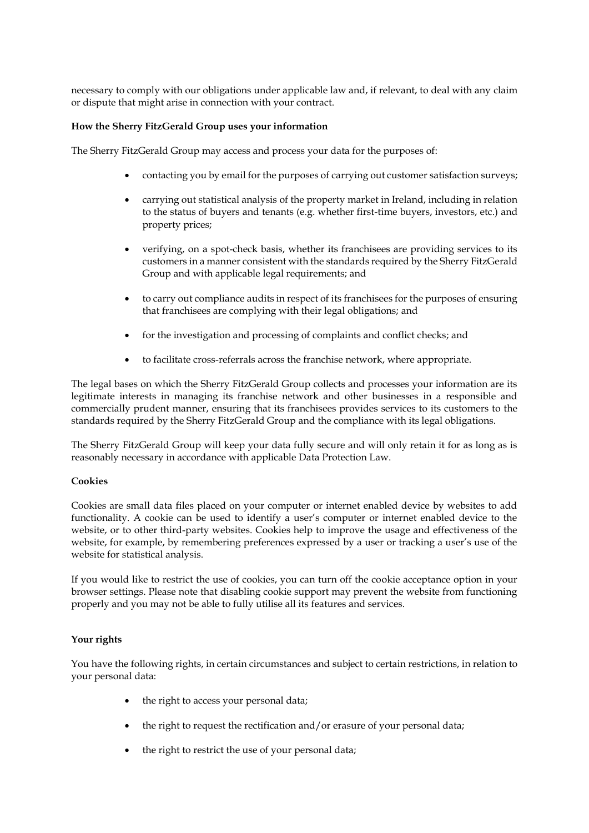necessary to comply with our obligations under applicable law and, if relevant, to deal with any claim or dispute that might arise in connection with your contract.

# **How the Sherry FitzGerald Group uses your information**

The Sherry FitzGerald Group may access and process your data for the purposes of:

- contacting you by email for the purposes of carrying out customer satisfaction surveys;
- carrying out statistical analysis of the property market in Ireland, including in relation to the status of buyers and tenants (e.g. whether first-time buyers, investors, etc.) and property prices;
- verifying, on a spot-check basis, whether its franchisees are providing services to its customers in a manner consistent with the standards required by the Sherry FitzGerald Group and with applicable legal requirements; and
- to carry out compliance audits in respect of its franchisees for the purposes of ensuring that franchisees are complying with their legal obligations; and
- for the investigation and processing of complaints and conflict checks; and
- to facilitate cross-referrals across the franchise network, where appropriate.

The legal bases on which the Sherry FitzGerald Group collects and processes your information are its legitimate interests in managing its franchise network and other businesses in a responsible and commercially prudent manner, ensuring that its franchisees provides services to its customers to the standards required by the Sherry FitzGerald Group and the compliance with its legal obligations.

The Sherry FitzGerald Group will keep your data fully secure and will only retain it for as long as is reasonably necessary in accordance with applicable Data Protection Law.

# **Cookies**

Cookies are small data files placed on your computer or internet enabled device by websites to add functionality. A cookie can be used to identify a user's computer or internet enabled device to the website, or to other third-party websites. Cookies help to improve the usage and effectiveness of the website, for example, by remembering preferences expressed by a user or tracking a user's use of the website for statistical analysis.

If you would like to restrict the use of cookies, you can turn off the cookie acceptance option in your browser settings. Please note that disabling cookie support may prevent the website from functioning properly and you may not be able to fully utilise all its features and services.

# **Your rights**

You have the following rights, in certain circumstances and subject to certain restrictions, in relation to your personal data:

- the right to access your personal data;
- the right to request the rectification and/or erasure of your personal data;
- the right to restrict the use of your personal data;